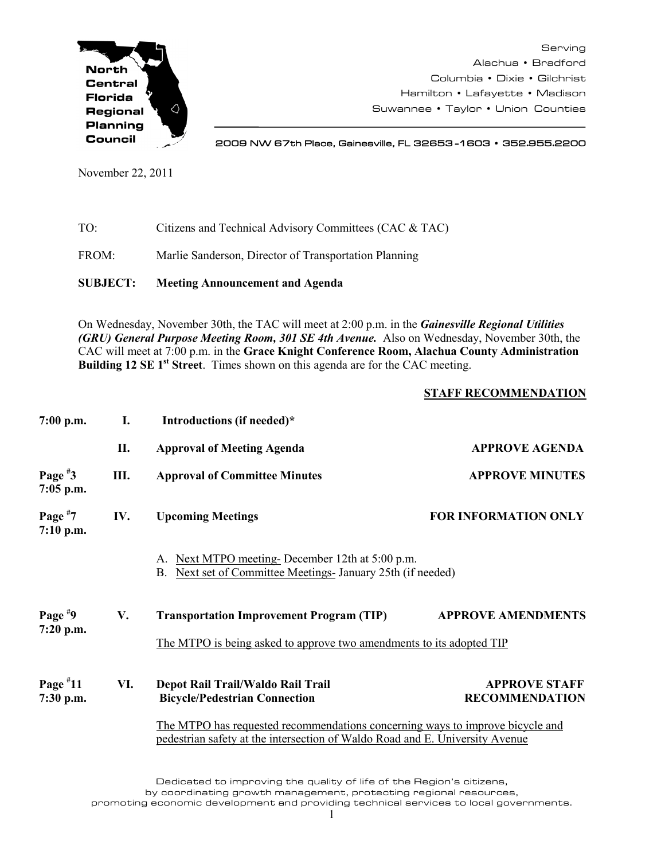

Serving Alachua • Bradford Columbia • Dixie • Gilchrist Hamilton • Lafayette • Madison Suwannee • Taylor • Union Counties

2009 NW 67th Place, Gainesville, FL 32653 -1603 • 352.955.2200

November 22, 2011

- TO: Citizens and Technical Advisory Committees (CAC & TAC)
- FROM: Marlie Sanderson, Director of Transportation Planning

**SUBJECT: Meeting Announcement and Agenda**

On Wednesday, November 30th, the TAC will meet at 2:00 p.m. in the *Gainesville Regional Utilities (GRU) General Purpose Meeting Room, 301 SE 4th Avenue.* Also on Wednesday, November 30th, the CAC will meet at 7:00 p.m. in the **Grace Knight Conference Room, Alachua County Administration Building 12 SE 1<sup>st</sup> Street**. Times shown on this agenda are for the CAC meeting.

## **STAFF RECOMMENDATION**

| $7:00$ p.m.              | I.   | Introductions (if needed)*                                                                                                                                    |                                               |
|--------------------------|------|---------------------------------------------------------------------------------------------------------------------------------------------------------------|-----------------------------------------------|
|                          | П.   | <b>Approval of Meeting Agenda</b>                                                                                                                             | <b>APPROVE AGENDA</b>                         |
| Page $*3$<br>$7:05$ p.m. | III. | <b>Approval of Committee Minutes</b>                                                                                                                          | <b>APPROVE MINUTES</b>                        |
| Page $*7$<br>$7:10$ p.m. | IV.  | <b>Upcoming Meetings</b>                                                                                                                                      | <b>FOR INFORMATION ONLY</b>                   |
|                          |      | Next MTPO meeting-December 12th at 5:00 p.m.<br>A.<br>Next set of Committee Meetings- January 25th (if needed)<br>B.                                          |                                               |
| Page $*9$<br>7:20 p.m.   | V.   | <b>Transportation Improvement Program (TIP)</b>                                                                                                               | <b>APPROVE AMENDMENTS</b>                     |
|                          |      | The MTPO is being asked to approve two amendments to its adopted TIP                                                                                          |                                               |
| Page $*11$<br>7:30 p.m.  | VI.  | Depot Rail Trail/Waldo Rail Trail<br><b>Bicycle/Pedestrian Connection</b>                                                                                     | <b>APPROVE STAFF</b><br><b>RECOMMENDATION</b> |
|                          |      | The MTPO has requested recommendations concerning ways to improve bicycle and<br>pedestrian safety at the intersection of Waldo Road and E. University Avenue |                                               |